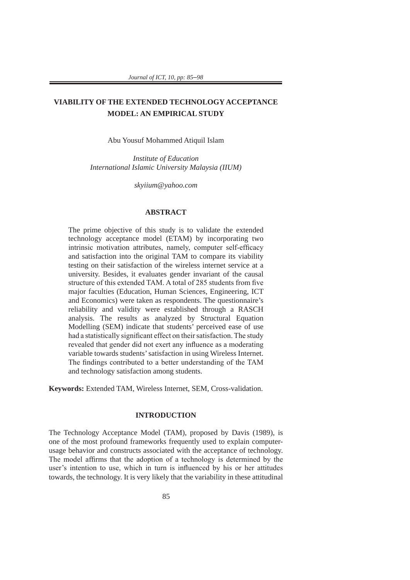# **VIABILITY OF THE EXTENDED TECHNOLOGY ACCEPTANCE MODEL: AN EMPIRICAL STUDY**

Abu Yousuf Mohammed Atiquil Islam

*Institute of Education International Islamic University Malaysia (IIUM)* 

*skyiium@yahoo.com* 

# **ABSTRACT**

The prime objective of this study is to validate the extended technology acceptance model (ETAM) by incorporating two intrinsic motivation attributes, namely, computer self-efficacy and satisfaction into the original TAM to compare its viability testing on their satisfaction of the wireless internet service at a university. Besides, it evaluates gender invariant of the causal structure of this extended TAM. A total of 285 students from five major faculties (Education, Human Sciences, Engineering, ICT and Economics) were taken as respondents. The questionnaire's reliability and validity were established through a RASCH analysis. The results as analyzed by Structural Equation Modelling (SEM) indicate that students' perceived ease of use had a statistically significant effect on their satisfaction. The study revealed that gender did not exert any influence as a moderating variable towards students' satisfaction in using Wireless Internet. The findings contributed to a better understanding of the TAM and technology satisfaction among students.

**Keywords:** Extended TAM, Wireless Internet, SEM, Cross-validation.

#### **INTRODUCTION**

The Technology Acceptance Model (TAM), proposed by Davis (1989), is one of the most profound frameworks frequently used to explain computerusage behavior and constructs associated with the acceptance of technology. The model affirms that the adoption of a technology is determined by the user's intention to use, which in turn is influenced by his or her attitudes towards, the technology. It is very likely that the variability in these attitudinal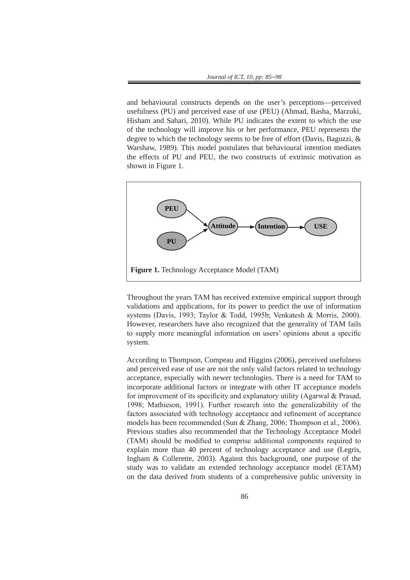and behavioural constructs depends on the user's perceptions—perceived usefulness (PU) and perceived ease of use (PEU) (Ahmad, Basha, Marzuki, Hisham and Sahari, 2010). While PU indicates the extent to which the use of the technology will improve his or her performance, PEU represents the degree to which the technology seems to be free of effort (Davis, Bagozzi, & Warshaw, 1989). This model postulates that behavioural intention mediates the effects of PU and PEU, the two constructs of extrinsic motivation as shown in Figure 1.



Throughout the years TAM has received extensive empirical support through validations and applications, for its power to predict the use of information systems (Davis, 1993; Taylor & Todd, 1995b; Venkatesh & Morris, 2000). However, researchers have also recognized that the generality of TAM fails to supply more meaningful information on users' opinions about a specific system.

According to Thompson, Compeau and Higgins (2006), perceived usefulness and perceived ease of use are not the only valid factors related to technology acceptance, especially with newer technologies. There is a need for TAM to incorporate additional factors or integrate with other IT acceptance models for improvement of its specificity and explanatory utility (Agarwal & Prasad, 1998; Mathieson, 1991). Further research into the generalizability of the factors associated with technology acceptance and refinement of acceptance models has been recommended (Sun & Zhang, 2006; Thompson et al., 2006). Previous studies also recommended that the Technology Acceptance Model (TAM) should be modified to comprise additional components required to explain more than 40 percent of technology acceptance and use (Legris, Ingham & Collerette, 2003). Against this background, one purpose of the study was to validate an extended technology acceptance model (ETAM) on the data derived from students of a comprehensive public university in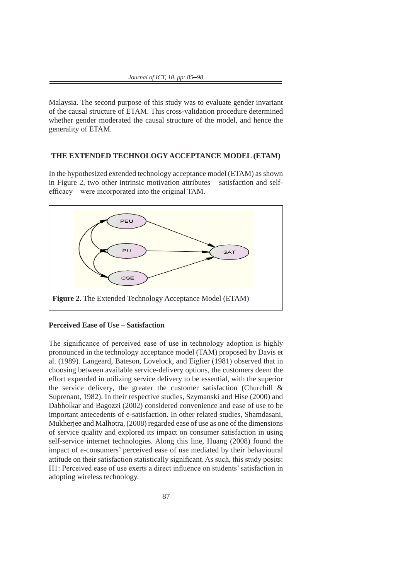Malaysia. The second purpose of this study was to evaluate gender invariant of the causal structure of ETAM. This cross-validation procedure determined whether gender moderated the causal structure of the model, and hence the generality of ETAM.

# **THE EXTENDED TECHNOLOGY ACCEPTANCE MODEL (ETAM)**

In the hypothesized extended technology acceptance model (ETAM) as shown in Figure 2, two other intrinsic motivation attributes – satisfaction and selfefficacy – were incorporated into the original TAM.



# **Perceived Ease of Use - Satisfaction**

The significance of perceived ease of use in technology adoption is highly pronounced in the technology acceptance model (TAM) proposed by Davis et al. (1989). Langeard, Bateson, Lovelock, and Eiglier (1981) observed that in choosing between available service-delivery options, the customers deem the effort expended in utilizing service delivery to be essential, with the superior the service delivery, the greater the customer satisfaction (Churchill  $\&$ Suprenant, 1982). In their respective studies, Szymanski and Hise (2000) and Dabholkar and Bagozzi (2002) considered convenience and ease of use to be important antecedents of e-satisfaction. In other related studies, Shamdasani, Mukherjee and Malhotra, (2008) regarded ease of use as one of the dimensions of service quality and explored its impact on consumer satisfaction in using self-service internet technologies. Along this line, Huang (2008) found the impact of e-consumers' perceived ease of use mediated by their behavioural attitude on their satisfaction statistically significant. As such, this study posits: H1: Perceived ease of use exerts a direct influence on students' satisfaction in adopting wireless technology.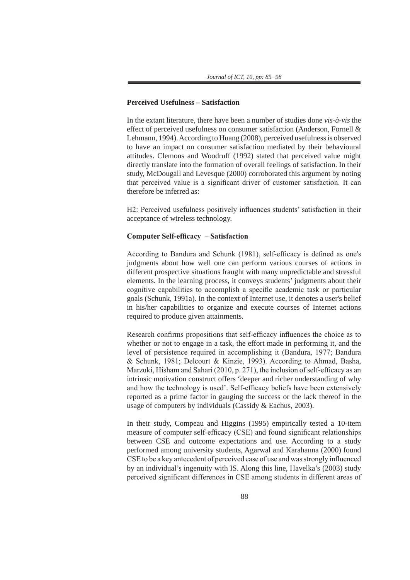#### **Perceived Usefulness – Satisfaction**

In the extant literature, there have been a number of studies done *vis-à-vis* the effect of perceived usefulness on consumer satisfaction (Anderson, Fornell & Lehmann, 1994). According to Huang (2008), perceived usefulness is observed to have an impact on consumer satisfaction mediated by their behavioural attitudes. Clemons and Woodruff (1992) stated that perceived value might directly translate into the formation of overall feelings of satisfaction. In their study, McDougall and Levesque (2000) corroborated this argument by noting that perceived value is a significant driver of customer satisfaction. It can therefore be inferred as:

H2: Perceived usefulness positively influences students' satisfaction in their acceptance of wireless technology.

# **Computer Self-efficacy – Satisfaction**

According to Bandura and Schunk (1981), self-efficacy is defined as one's judgments about how well one can perform various courses of actions in different prospective situations fraught with many unpredictable and stressful elements. In the learning process, it conveys students' judgments about their cognitive capabilities to accomplish a specific academic task or particular goals (Schunk, 1991a). In the context of Internet use, it denotes a user's belief in his/her capabilities to organize and execute courses of Internet actions required to produce given attainments.

Research confirms propositions that self-efficacy influences the choice as to whether or not to engage in a task, the effort made in performing it, and the level of persistence required in accomplishing it (Bandura, 1977; Bandura & Schunk, 1981; Delcourt & Kinzie, 1993). According to Ahmad, Basha, Marzuki, Hisham and Sahari (2010, p. 271), the inclusion of self-efficacy as an intrinsic motivation construct offers 'deeper and richer understanding of why and how the technology is used'. Self-efficacy beliefs have been extensively reported as a prime factor in gauging the success or the lack thereof in the usage of computers by individuals (Cassidy & Eachus, 2003).

In their study, Compeau and Higgins (1995) empirically tested a 10-item measure of computer self-efficacy (CSE) and found significant relationships between CSE and outcome expectations and use. According to a study performed among university students, Agarwal and Karahanna (2000) found CSE to be a key antecedent of perceived ease of use and was strongly influenced by an individual's ingenuity with IS. Along this line, Havelka's (2003) study perceived significant differences in CSE among students in different areas of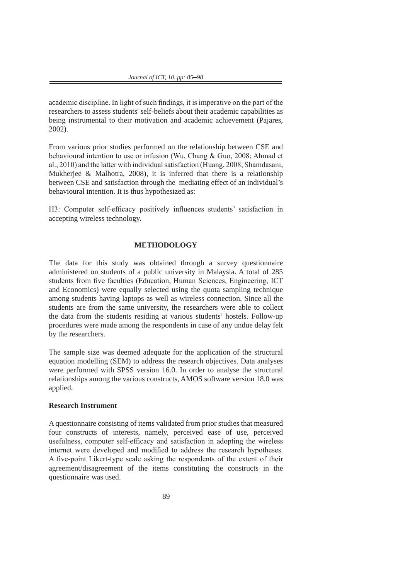academic discipline. In light of such findings, it is imperative on the part of the researchers to assess students' self-beliefs about their academic capabilities as being instrumental to their motivation and academic achievement (Pajares, 2002).

From various prior studies performed on the relationship between CSE and behavioural intention to use or infusion (Wu, Chang & Guo, 2008; Ahmad et al., 2010) and the latter with individual satisfaction (Huang, 2008; Shamdasani, Mukherjee & Malhotra, 2008), it is inferred that there is a relationship between CSE and satisfaction through the mediating effect of an individual's behavioural intention. It is thus hypothesized as:

H3: Computer self-efficacy positively influences students' satisfaction in accepting wireless technology.

## **METHODOLOGY**

The data for this study was obtained through a survey questionnaire administered on students of a public university in Malaysia. A total of 285 students from five faculties (Education, Human Sciences, Engineering, ICT and Economics) were equally selected using the quota sampling technique among students having laptops as well as wireless connection. Since all the students are from the same university, the researchers were able to collect the data from the students residing at various students' hostels. Follow-up procedures were made among the respondents in case of any undue delay felt by the researchers.

The sample size was deemed adequate for the application of the structural equation modelling (SEM) to address the research objectives. Data analyses were performed with SPSS version 16.0. In order to analyse the structural relationships among the various constructs, AMOS software version 18.0 was applied.

# **Research Instrument**

A questionnaire consisting of items validated from prior studies that measured four constructs of interests, namely, perceived ease of use, perceived usefulness, computer self-efficacy and satisfaction in adopting the wireless internet were developed and modified to address the research hypotheses. A five-point Likert-type scale asking the respondents of the extent of their agreement/disagreement of the items constituting the constructs in the questionnaire was used.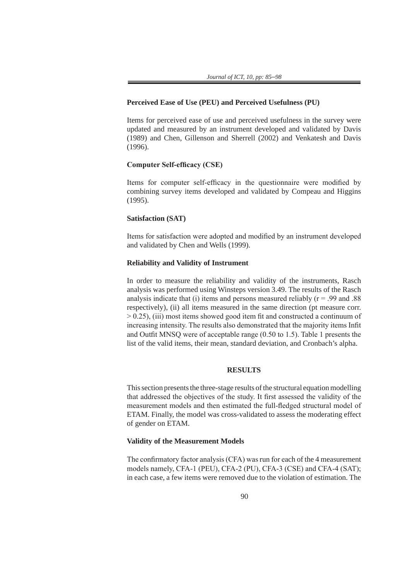#### **Perceived Ease of Use (PEU) and Perceived Usefulness (PU)**

Items for perceived ease of use and perceived usefulness in the survey were updated and measured by an instrument developed and validated by Davis (1989) and Chen, Gillenson and Sherrell (2002) and Venkatesh and Davis (1996).

## **Computer Self-efficacy (CSE)**

Items for computer self-efficacy in the questionnaire were modified by combining survey items developed and validated by Compeau and Higgins (1995).

## **Satisfaction (SAT)**

Items for satisfaction were adopted and modified by an instrument developed and validated by Chen and Wells (1999).

### **Reliability and Validity of Instrument**

In order to measure the reliability and validity of the instruments, Rasch analysis was performed using Winsteps version 3.49. The results of the Rasch analysis indicate that (i) items and persons measured reliably  $(r = .99$  and  $.88$ respectively), (ii) all items measured in the same direction (pt measure corr. > 0.25), (iii) most items showed good item fit and constructed a continuum of increasing intensity. The results also demonstrated that the majority items Infit and Outfit MNSQ were of acceptable range (0.50 to 1.5). Table 1 presents the list of the valid items, their mean, standard deviation, and Cronbach's alpha.

#### **RESULTS**

This section presents the three-stage results of the structural equation modelling that addressed the objectives of the study. It first assessed the validity of the measurement models and then estimated the full-fledged structural model of ETAM. Finally, the model was cross-validated to assess the moderating effect of gender on ETAM.

#### **Validity of the Measurement Models**

The confirmatory factor analysis (CFA) was run for each of the 4 measurement models namely, CFA-1 (PEU), CFA-2 (PU), CFA-3 (CSE) and CFA-4 (SAT); in each case, a few items were removed due to the violation of estimation. The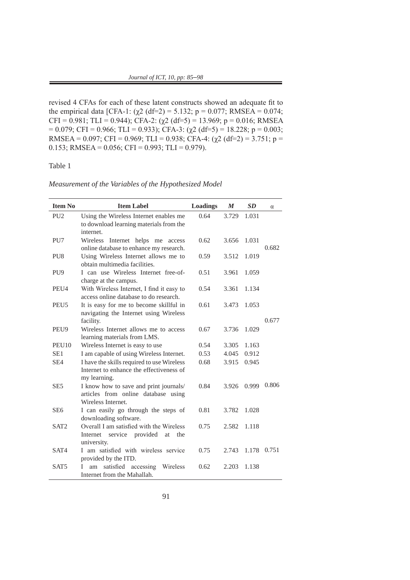revised 4 CFAs for each of these latent constructs showed an adequate fit to the empirical data [CFA-1: (χ2 (df=2) = 5.132; p = 0.077; RMSEA = 0.074; CFI = 0.981; TLI = 0.944); CFA-2: (χ2 (df=5) = 13.969; p = 0.016; RMSEA  $= 0.079$ ; CFI = 0.966; TLI = 0.933); CFA-3: ( $\chi$ 2 (df=5) = 18.228; p = 0.003; RMSEA = 0.097; CFI = 0.969; TLI = 0.938; CFA-4: ( $\chi$ 2 (df=2) = 3.751; p = 0.153; RMSEA =  $0.056$ ; CFI =  $0.993$ ; TLI = 0.979).

# Table 1

*Measurement of the Variables of the Hypothesized Model*

| <b>Item No</b>    | <b>Item Label</b>                                                                                      | Loadings | $\boldsymbol{M}$ | SD    | $\alpha$ |
|-------------------|--------------------------------------------------------------------------------------------------------|----------|------------------|-------|----------|
| PU <sub>2</sub>   | Using the Wireless Internet enables me<br>to download learning materials from the<br>internet.         | 0.64     | 3.729            | 1.031 |          |
| PU7               | Wireless Internet helps me access<br>online database to enhance my research.                           | 0.62     | 3.656            | 1.031 | 0.682    |
| PU <sub>8</sub>   | Using Wireless Internet allows me to<br>obtain multimedia facilities.                                  | 0.59     | 3.512            | 1.019 |          |
| PU <sub>9</sub>   | I can use Wireless Internet free-of-<br>charge at the campus.                                          | 0.51     | 3.961            | 1.059 |          |
| PEU4              | With Wireless Internet, I find it easy to<br>access online database to do research.                    | 0.54     | 3.361            | 1.134 |          |
| PEU <sub>5</sub>  | It is easy for me to become skillful in<br>navigating the Internet using Wireless                      | 0.61     | 3.473            | 1.053 |          |
|                   | facility.                                                                                              |          |                  |       | 0.677    |
| PEU9              | Wireless Internet allows me to access<br>learning materials from LMS.                                  | 0.67     | 3.736            | 1.029 |          |
| PEU <sub>10</sub> | Wireless Internet is easy to use                                                                       | 0.54     | 3.305            | 1.163 |          |
| SE1               | I am capable of using Wireless Internet.                                                               | 0.53     | 4.045            | 0.912 |          |
| SE <sub>4</sub>   | I have the skills required to use Wireless<br>Internet to enhance the effectiveness of<br>my learning. | 0.68     | 3.915            | 0.945 |          |
| SE <sub>5</sub>   | I know how to save and print journals/<br>articles from online database using<br>Wireless Internet.    | 0.84     | 3.926            | 0.999 | 0.806    |
| SE <sub>6</sub>   | I can easily go through the steps of<br>downloading software.                                          | 0.81     | 3.782            | 1.028 |          |
| SAT <sub>2</sub>  | Overall I am satisfied with the Wireless<br>Internet<br>service provided<br>the<br>at<br>university.   | 0.75     | 2.582            | 1.118 |          |
| SAT4              | I am satisfied with wireless service<br>provided by the ITD.                                           | 0.75     | 2.743            | 1.178 | 0.751    |
| SAT <sub>5</sub>  | satisfied accessing<br>T<br>Wireless<br>am<br>Internet from the Mahallah.                              | 0.62     | 2.203            | 1.138 |          |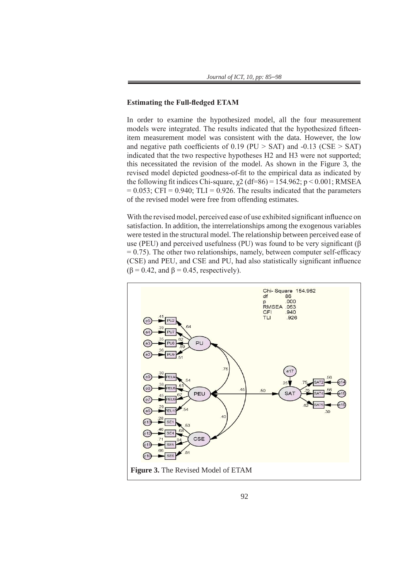## **Estimating the Full-fledged ETAM**

In order to examine the hypothesized model, all the four measurement models were integrated. The results indicated that the hypothesized fifteenitem measurement model was consistent with the data. However, the low and negative path coefficients of  $0.19$  (PU  $>$  SAT) and  $-0.13$  (CSE  $>$  SAT) indicated that the two respective hypotheses H2 and H3 were not supported; this necessitated the revision of the model. As shown in the Figure 3, the revised model depicted goodness-of-fit to the empirical data as indicated by the following fit indices Chi-square,  $\chi^2$  (df=86) = 154.962; p < 0.001; RMSEA  $= 0.053$ ; CFI = 0.940; TLI = 0.926. The results indicated that the parameters of the revised model were free from offending estimates.

With the revised model, perceived ease of use exhibited significant influence on satisfaction. In addition, the interrelationships among the exogenous variables were tested in the structural model. The relationship between perceived ease of use (PEU) and perceived usefulness (PU) was found to be very significant ( $\beta$ )  $= 0.75$ ). The other two relationships, namely, between computer self-efficacy (CSE) and PEU, and CSE and PU, had also statistically significant influence  $(\beta = 0.42, \text{ and } \beta = 0.45, \text{ respectively}).$ 

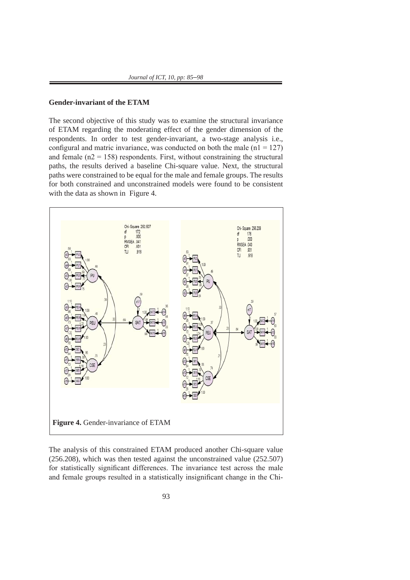# **Gender-invariant of the ETAM**

The second objective of this study was to examine the structural invariance of ETAM regarding the moderating effect of the gender dimension of the respondents. In order to test gender-invariant, a two-stage analysis i.e., configural and matric invariance, was conducted on both the male  $(n1 = 127)$ and female ( $n2 = 158$ ) respondents. First, without constraining the structural paths, the results derived a baseline Chi-square value. Next, the structural paths were constrained to be equal for the male and female groups. The results for both constrained and unconstrained models were found to be consistent with the data as shown in Figure 4.



The analysis of this constrained ETAM produced another Chi-square value (256.208), which was then tested against the unconstrained value (252.507) for statistically significant differences. The invariance test across the male<br>and famely groups resulted in a statistically insignificant aboves in the Chi-For statistically significant differences. The invariance test across the mate<br>and female groups resulted in a statistically insignificant change in the Chiand temate groups resulted in a statistically insignificant enarge in the cin-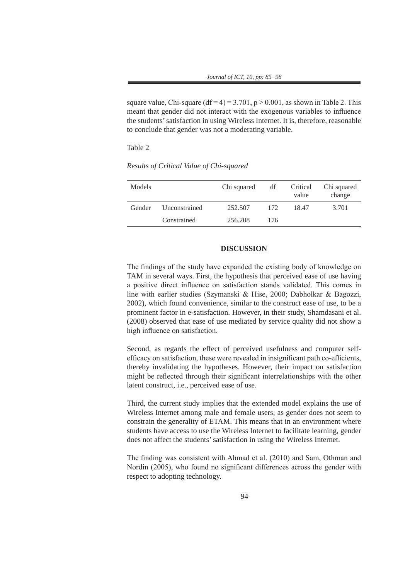square value, Chi-square (df = 4) =  $3.701$ , p >  $0.001$ , as shown in Table 2. This meant that gender did not interact with the exogenous variables to influence the students' satisfaction in using Wireless Internet. It is, therefore, reasonable to conclude that gender was not a moderating variable.

Table 2

*Results of Critical Value of Chi-squared*

| <b>Models</b> |               | Chi squared | df  | Critical<br>value | Chi squared<br>change |
|---------------|---------------|-------------|-----|-------------------|-----------------------|
| Gender        | Unconstrained | 252.507     | 172 | 18.47             | 3.701                 |
|               | Constrained   | 256.208     | 176 |                   |                       |

#### **DISCUSSION**

The findings of the study have expanded the existing body of knowledge on TAM in several ways. First, the hypothesis that perceived ease of use having a positive direct influence on satisfaction stands validated. This comes in line with earlier studies (Szymanski & Hise, 2000; Dabholkar & Bagozzi, 2002), which found convenience, similar to the construct ease of use, to be a prominent factor in e-satisfaction. However, in their study, Shamdasani et al. (2008) observed that ease of use mediated by service quality did not show a high influence on satisfaction.

Second, as regards the effect of perceived usefulness and computer selfefficacy on satisfaction, these were revealed in insignificant path co-efficients, thereby invalidating the hypotheses. However, their impact on satisfaction might be reflected through their significant interrelationships with the other latent construct, i.e., perceived ease of use.

Third, the current study implies that the extended model explains the use of Wireless Internet among male and female users, as gender does not seem to constrain the generality of ETAM. This means that in an environment where students have access to use the Wireless Internet to facilitate learning, gender does not affect the students' satisfaction in using the Wireless Internet.

The finding was consistent with Ahmad et al. (2010) and Sam, Othman and Nordin (2005), who found no significant differences across the gender with respect to adopting technology.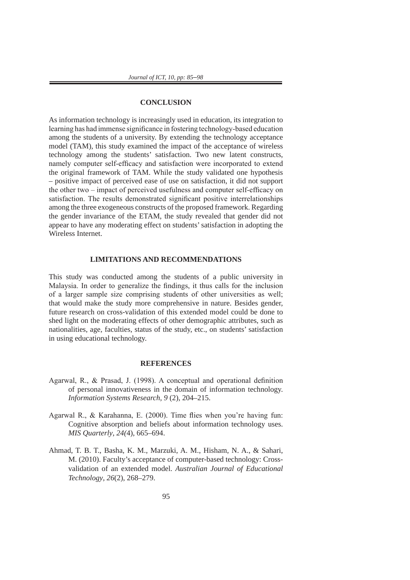## **CONCLUSION**

As information technology is increasingly used in education, its integration to learning has had immense significance in fostering technology-based education among the students of a university. By extending the technology acceptance model (TAM), this study examined the impact of the acceptance of wireless technology among the students' satisfaction. Two new latent constructs, namely computer self-efficacy and satisfaction were incorporated to extend the original framework of TAM. While the study validated one hypothesis – positive impact of perceived ease of use on satisfaction, it did not support the other two – impact of perceived usefulness and computer self-efficacy on satisfaction. The results demonstrated significant positive interrelationships among the three exogeneous constructs of the proposed framework. Regarding the gender invariance of the ETAM, the study revealed that gender did not appear to have any moderating effect on students' satisfaction in adopting the Wireless Internet.

# **LIMITATIONS AND RECOMMENDATIONS**

This study was conducted among the students of a public university in Malaysia. In order to generalize the findings, it thus calls for the inclusion of a larger sample size comprising students of other universities as well; that would make the study more comprehensive in nature. Besides gender, future research on cross-validation of this extended model could be done to shed light on the moderating effects of other demographic attributes, such as nationalities, age, faculties, status of the study, etc., on students' satisfaction in using educational technology.

#### **REFERENCES**

- Agarwal, R., & Prasad, J. (1998). A conceptual and operational definition of personal innovativeness in the domain of information technology. *Information Systems Research*, *9* (2), 204–215.
- Agarwal R., & Karahanna, E. (2000). Time flies when you're having fun: Cognitive absorption and beliefs about information technology uses. *MIS Quarterly*, *24(*4), 665–694.
- Ahmad, T. B. T., Basha, K. M., Marzuki, A. M., Hisham, N. A., & Sahari, M. (2010). Faculty's acceptance of computer-based technology: Crossvalidation of an extended model. *Australian Journal of Educational Technology*, *26*(2), 268–279.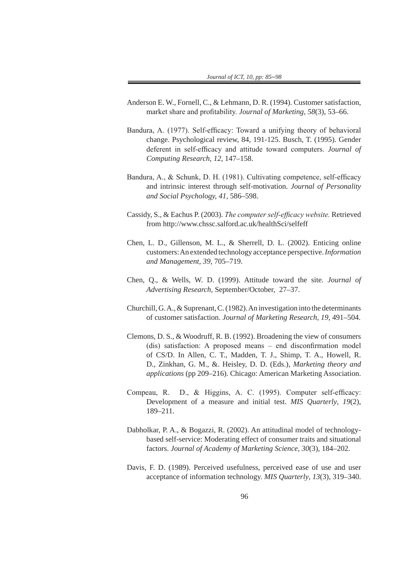- Anderson E. W., Fornell, C., & Lehmann, D. R. (1994). Customer satisfaction, market share and profitability. *Journal of Marketing*, *58*(3), 53–66.
- Bandura, A. (1977). Self-efficacy: Toward a unifying theory of behavioral change. Psychological review, 84, 191-125. Busch, T. (1995). Gender deferent in self-efficacy and attitude toward computers. *Journal of Computing Research*, *12*, 147–158.
- Bandura, A., & Schunk, D. H. (1981). Cultivating competence, self-efficacy and intrinsic interest through self-motivation. *Journal of Personality and Social Psychology, 41,* 586–598.
- Cassidy, S., & Eachus P. (2003). *The computer self-efficacy website.* Retrieved from http://www.chssc.salford.ac.uk/healthSci/selfeff
- Chen, L. D., Gillenson, M. L., & Sherrell, D. L. (2002). Enticing online customers: An extended technology acceptance perspective. *Information and Management, 39,* 705–719.
- Chen, Q., & Wells, W. D. (1999). Attitude toward the site. *Journal of Advertising Research,* September/October, 27–37.
- Churchill, G. A., & Suprenant, C. (1982). An investigation into the determinants of customer satisfaction. *Journal of Marketing Research*, *19,* 491–504.
- Clemons, D. S., & Woodruff, R. B. (1992). Broadening the view of consumers (dis) satisfaction: A proposed means – end disconfirmation model of CS/D. In Allen, C. T., Madden, T. J., Shimp, T. A., Howell, R. D., Zinkhan, G. M., &. Heisley, D. D. (Eds.), *Marketing theory and applications* (pp 209–216). Chicago: American Marketing Association.
- Compeau, R. D., & Higgins, A. C. (1995). Computer self-efficacy: Development of a measure and initial test. *MIS Quarterly*, *19*(2), 189–211.
- Dabholkar, P. A., & Bogazzi, R. (2002). An attitudinal model of technologybased self-service: Moderating effect of consumer traits and situational factors. *Journal of Academy of Marketing Science*, *30*(3), 184–202.
- Davis, F. D. (1989). Perceived usefulness, perceived ease of use and user acceptance of information technology. *MIS Quarterly*, *13*(3), 319–340.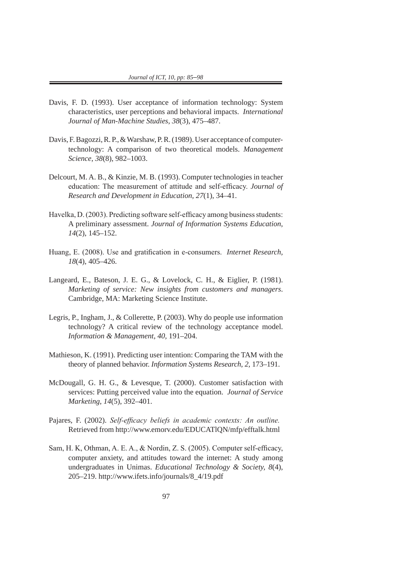- Davis, F. D. (1993). User acceptance of information technology: System characteristics, user perceptions and behavioral impacts. *International Journal of Man-Machine Studies*, *38*(3), 475–487.
- Davis, F. Bagozzi, R. P., & Warshaw, P. R. (1989). User acceptance of computertechnology: A comparison of two theoretical models. *Management Science*, *38*(8), 982–1003.
- Delcourt, M. A. B., & Kinzie, M. B. (1993). Computer technologies in teacher education: The measurement of attitude and self-efficacy. *Journal of Research and Development in Education, 27*(1), 34–41.
- Havelka, D. (2003). Predicting software self-efficacy among business students: A preliminary assessment. *Journal of Information Systems Education*, *14*(2), 145–152.
- Huang, E. (2008). Use and gratification in e-consumers. *Internet Research, 18*(4), 405–426.
- Langeard, E., Bateson, J. E. G., & Lovelock, C. H., & Eiglier, P. (1981). *Marketing of service: New insights from customers and managers*. Cambridge, MA: Marketing Science Institute.
- Legris, P., Ingham, J., & Collerette, P. (2003). Why do people use information technology? A critical review of the technology acceptance model. *Information & Management*, *40,* 191–204.
- Mathieson, K. (1991). Predicting user intention: Comparing the TAM with the theory of planned behavior. *Information Systems Research*, *2,* 173–191.
- McDougall, G. H. G., & Levesque, T. (2000). Customer satisfaction with services: Putting perceived value into the equation. *Journal of Service Marketing*, *14*(5), 392–401.
- Pajares, F. (2002). *Self-efficacy beliefs in academic contexts: An outline.*  Retrieved from http://www.emorv.edu/EDUCATlQN/mfp/efftalk.html
- Sam, H. K, Othman, A. E. A., & Nordin, Z. S. (2005). Computer self-efficacy, computer anxiety, and attitudes toward the internet: A study among undergraduates in Unimas. *Educational Technology & Society, 8*(4), 205–219. http://www.ifets.info/journals/8\_4/19.pdf